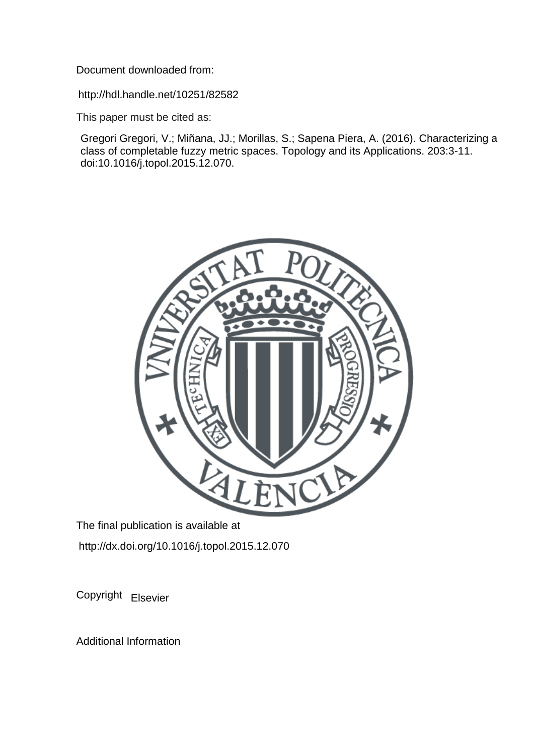Document downloaded from:

http://hdl.handle.net/10251/82582

This paper must be cited as:

Gregori Gregori, V.; Miñana, JJ.; Morillas, S.; Sapena Piera, A. (2016). Characterizing a class of completable fuzzy metric spaces. Topology and its Applications. 203:3-11. doi:10.1016/j.topol.2015.12.070.



The final publication is available at http://dx.doi.org/10.1016/j.topol.2015.12.070

Copyright Elsevier

Additional Information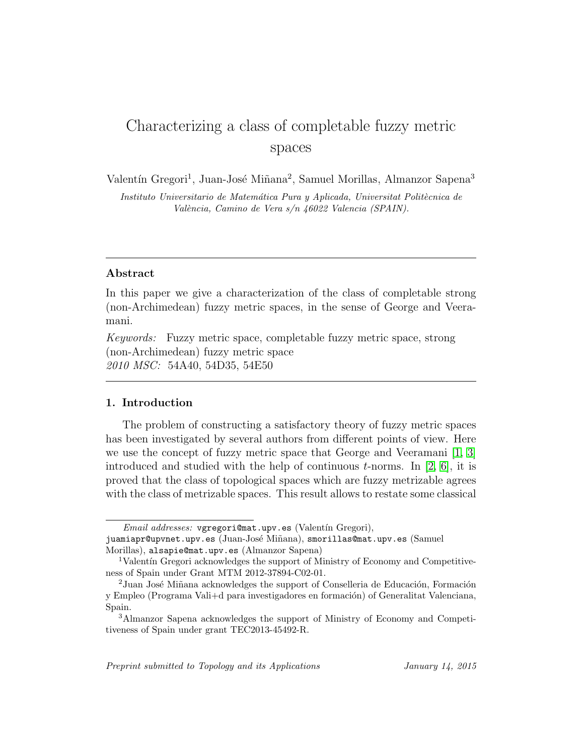# Characterizing a class of completable fuzzy metric spaces

Valentín Gregori<sup>1</sup>, Juan-José Miñana<sup>2</sup>, Samuel Morillas, Almanzor Sapena<sup>3</sup>

Instituto Universitario de Matemática Pura y Aplicada, Universitat Politècnica de València, Camino de Vera s/n 46022 Valencia (SPAIN).

## Abstract

In this paper we give a characterization of the class of completable strong (non-Archimedean) fuzzy metric spaces, in the sense of George and Veeramani.

Keywords: Fuzzy metric space, completable fuzzy metric space, strong (non-Archimedean) fuzzy metric space 2010 MSC: 54A40, 54D35, 54E50

## 1. Introduction

The problem of constructing a satisfactory theory of fuzzy metric spaces has been investigated by several authors from different points of view. Here we use the concept of fuzzy metric space that George and Veeramani [\[1,](#page-13-0) [3\]](#page-13-1) introduced and studied with the help of continuous  $t$ -norms. In [\[2,](#page-13-2) [6\]](#page-13-3), it is proved that the class of topological spaces which are fuzzy metrizable agrees with the class of metrizable spaces. This result allows to restate some classical

Email addresses: vgregori@mat.upv.es (Valentín Gregori), juamiapr@upvnet.upv.es (Juan-José Miñana), smorillas@mat.upv.es (Samuel Morillas), alsapie@mat.upv.es (Almanzor Sapena)

<sup>&</sup>lt;sup>1</sup>Valentín Gregori acknowledges the support of Ministry of Economy and Competitiveness of Spain under Grant MTM 2012-37894-C02-01.

 $2$ Juan José Miñana acknowledges the support of Conselleria de Educación, Formación y Empleo (Programa Vali+d para investigadores en formación) of Generalitat Valenciana, Spain.

<sup>3</sup>Almanzor Sapena acknowledges the support of Ministry of Economy and Competitiveness of Spain under grant TEC2013-45492-R.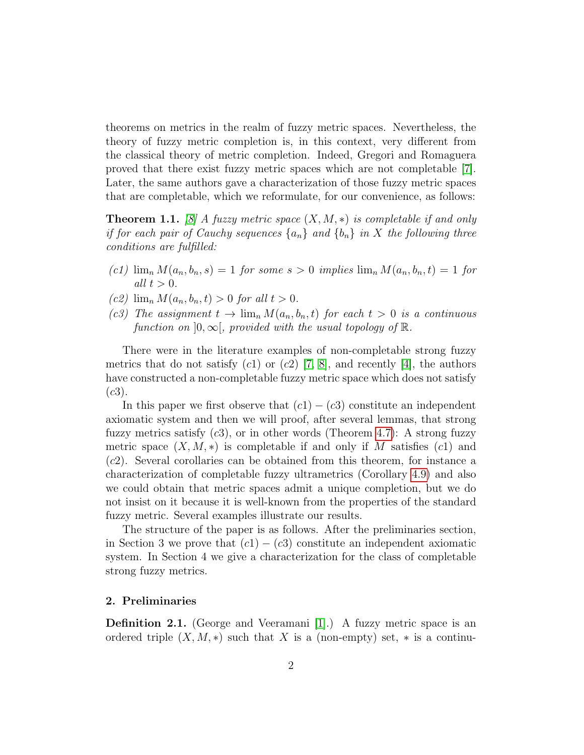theorems on metrics in the realm of fuzzy metric spaces. Nevertheless, the theory of fuzzy metric completion is, in this context, very different from the classical theory of metric completion. Indeed, Gregori and Romaguera proved that there exist fuzzy metric spaces which are not completable [\[7\]](#page-13-4). Later, the same authors gave a characterization of those fuzzy metric spaces that are completable, which we reformulate, for our convenience, as follows:

<span id="page-2-0"></span>**Theorem 1.1.** [\[8\]](#page-14-0) A fuzzy metric space  $(X, M, *)$  is completable if and only if for each pair of Cauchy sequences  $\{a_n\}$  and  $\{b_n\}$  in X the following three conditions are fulfilled:

- (c1)  $\lim_n M(a_n, b_n, s) = 1$  for some  $s > 0$  implies  $\lim_n M(a_n, b_n, t) = 1$  for all  $t > 0$ .
- (c2)  $\lim_n M(a_n, b_n, t) > 0$  for all  $t > 0$ .
- (c3) The assignment  $t \to \lim_n M(a_n, b_n, t)$  for each  $t > 0$  is a continuous function on  $[0,\infty]$ , provided with the usual topology of  $\mathbb{R}$ .

There were in the literature examples of non-completable strong fuzzy metrics that do not satisfy  $(c1)$  or  $(c2)$  [\[7,](#page-13-4) [8\]](#page-14-0), and recently [\[4\]](#page-13-5), the authors have constructed a non-completable fuzzy metric space which does not satisfy  $(c3)$ .

In this paper we first observe that  $(c1) - (c3)$  constitute an independent axiomatic system and then we will proof, after several lemmas, that strong fuzzy metrics satisfy  $(c3)$ , or in other words (Theorem [4.7\)](#page-12-0): A strong fuzzy metric space  $(X, M, *)$  is completable if and only if M satisfies  $(c1)$  and (c2). Several corollaries can be obtained from this theorem, for instance a characterization of completable fuzzy ultrametrics (Corollary [4.9\)](#page-13-6) and also we could obtain that metric spaces admit a unique completion, but we do not insist on it because it is well-known from the properties of the standard fuzzy metric. Several examples illustrate our results.

The structure of the paper is as follows. After the preliminaries section, in Section 3 we prove that  $(c1) - (c3)$  constitute an independent axiomatic system. In Section 4 we give a characterization for the class of completable strong fuzzy metrics.

#### 2. Preliminaries

Definition 2.1. (George and Veeramani [\[1\]](#page-13-0).) A fuzzy metric space is an ordered triple  $(X, M, *)$  such that X is a (non-empty) set,  $*$  is a continu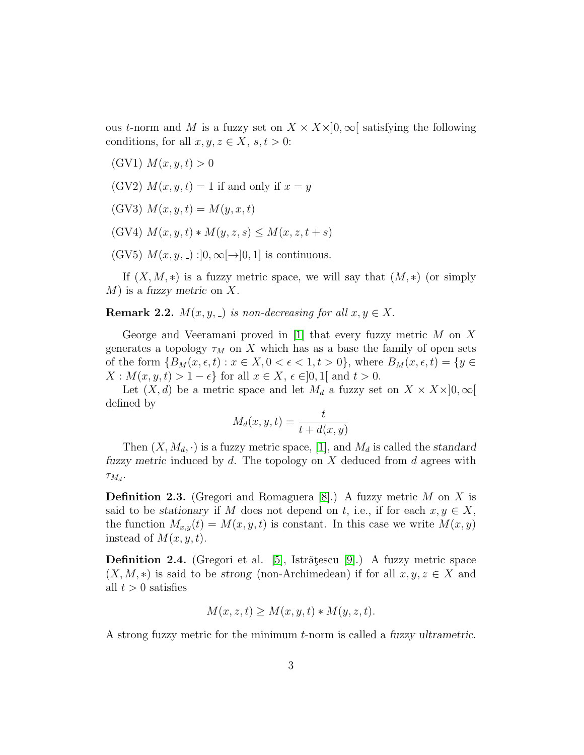ous t-norm and M is a fuzzy set on  $X \times X \times ]0, \infty[$  satisfying the following conditions, for all  $x, y, z \in X$ ,  $s, t > 0$ :

- (GV1)  $M(x, y, t) > 0$
- (GV2)  $M(x, y, t) = 1$  if and only if  $x = y$
- (GV3)  $M(x, y, t) = M(y, x, t)$
- (GV4)  $M(x, y, t) * M(y, z, s) \leq M(x, z, t + s)$
- (GV5)  $M(x, y, z) : ]0, \infty[ \rightarrow ]0, 1]$  is continuous.

If  $(X, M, *)$  is a fuzzy metric space, we will say that  $(M, *)$  (or simply  $M$ ) is a fuzzy metric on X.

<span id="page-3-0"></span>**Remark 2.2.**  $M(x, y, z)$  is non-decreasing for all  $x, y \in X$ .

George and Veeramani proved in [\[1\]](#page-13-0) that every fuzzy metric  $M$  on  $X$ generates a topology  $\tau_M$  on X which has as a base the family of open sets of the form  $\{B_M(x, \epsilon, t) : x \in X, 0 < \epsilon < 1, t > 0\}$ , where  $B_M(x, \epsilon, t) = \{y \in$  $X: M(x, y, t) > 1 - \epsilon$  for all  $x \in X$ ,  $\epsilon \in ]0,1[$  and  $t > 0$ .

Let  $(X, d)$  be a metric space and let  $M_d$  a fuzzy set on  $X \times X \times ]0, \infty[$ defined by

$$
M_d(x, y, t) = \frac{t}{t + d(x, y)}
$$

Then  $(X, M_d, \cdot)$  is a fuzzy metric space, [\[1\]](#page-13-0), and  $M_d$  is called the standard fuzzy metric induced by  $d$ . The topology on  $X$  deduced from  $d$  agrees with  $\tau_{M_d}$ .

**Definition 2.3.** (Gregori and Romaguera [\[8\]](#page-14-0).) A fuzzy metric M on X is said to be stationary if M does not depend on t, i.e., if for each  $x, y \in X$ , the function  $M_{x,y}(t) = M(x, y, t)$  is constant. In this case we write  $M(x, y)$ instead of  $M(x, y, t)$ .

**Definition 2.4.** (Gregori et al. [\[5\]](#page-13-7), Istrățescu [\[9\]](#page-14-1).) A fuzzy metric space  $(X, M, *)$  is said to be strong (non-Archimedean) if for all  $x, y, z \in X$  and all  $t > 0$  satisfies

$$
M(x, z, t) \ge M(x, y, t) * M(y, z, t).
$$

A strong fuzzy metric for the minimum t-norm is called a fuzzy ultrametric.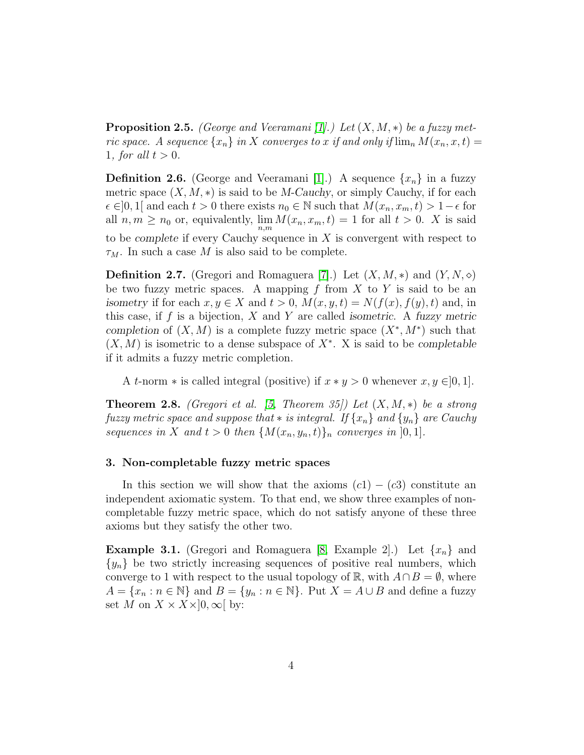**Proposition 2.5.** (George and Veeramani [\[1\]](#page-13-0).) Let  $(X, M, *)$  be a fuzzy metric space. A sequence  $\{x_n\}$  in X converges to x if and only if  $\lim_n M(x_n, x, t) =$ 1, for all  $t > 0$ .

**Definition 2.6.** (George and Veeramani [\[1\]](#page-13-0).) A sequence  $\{x_n\}$  in a fuzzy metric space  $(X, M, *)$  is said to be M-Cauchy, or simply Cauchy, if for each  $\epsilon \in ]0,1[$  and each  $t > 0$  there exists  $n_0 \in \mathbb{N}$  such that  $M(x_n, x_m, t) > 1 - \epsilon$  for all  $n, m \geq n_0$  or, equivalently,  $\lim_{n,m} M(x_n, x_m, t) = 1$  for all  $t > 0$ . X is said to be complete if every Cauchy sequence in  $X$  is convergent with respect to  $\tau_M$ . In such a case M is also said to be complete.

**Definition 2.7.** (Gregori and Romaguera [\[7\]](#page-13-4).) Let  $(X, M, *)$  and  $(Y, N, \diamond)$ be two fuzzy metric spaces. A mapping f from X to Y is said to be an isometry if for each  $x, y \in X$  and  $t > 0$ ,  $M(x, y, t) = N(f(x), f(y), t)$  and, in this case, if f is a bijection,  $X$  and  $Y$  are called isometric. A fuzzy metric completion of  $(X, M)$  is a complete fuzzy metric space  $(X^*, M^*)$  such that  $(X, M)$  is isometric to a dense subspace of  $X^*$ . X is said to be completable if it admits a fuzzy metric completion.

A t-norm  $*$  is called integral (positive) if  $x * y > 0$  whenever  $x, y \in ]0,1]$ .

<span id="page-4-0"></span>**Theorem 2.8.** (Gregori et al. [\[5,](#page-13-7) Theorem 35]) Let  $(X, M, *)$  be a strong fuzzy metric space and suppose that  $*$  is integral. If  $\{x_n\}$  and  $\{y_n\}$  are Cauchy sequences in X and  $t > 0$  then  $\{M(x_n, y_n, t)\}_n$  converges in  $]0, 1]$ .

## 3. Non-completable fuzzy metric spaces

In this section we will show that the axioms  $(c1) - (c3)$  constitute an independent axiomatic system. To that end, we show three examples of noncompletable fuzzy metric space, which do not satisfy anyone of these three axioms but they satisfy the other two.

<span id="page-4-1"></span>**Example 3.1.** (Gregori and Romaguera [\[8,](#page-14-0) Example 2].) Let  $\{x_n\}$  and  $\{y_n\}$  be two strictly increasing sequences of positive real numbers, which converge to 1 with respect to the usual topology of R, with  $A \cap B = \emptyset$ , where  $A = \{x_n : n \in \mathbb{N}\}\$ and  $B = \{y_n : n \in \mathbb{N}\}\$ . Put  $X = A \cup B$  and define a fuzzy set M on  $X \times X \times ]0, \infty[$  by: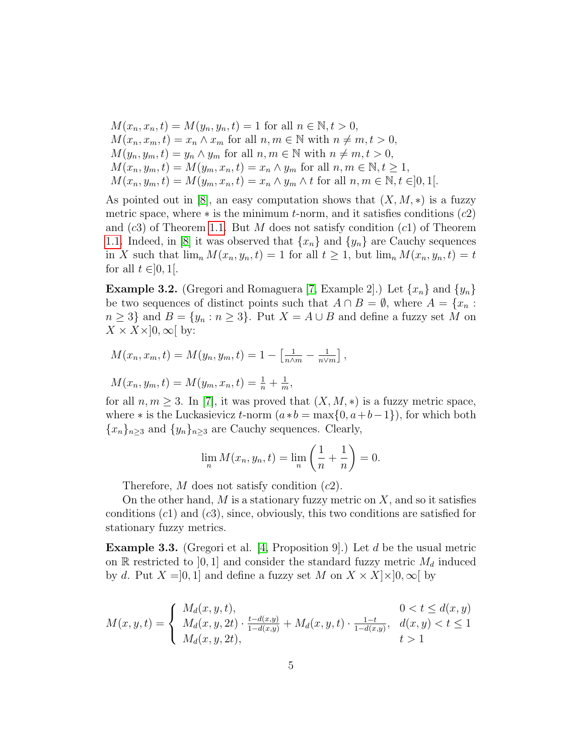$$
M(x_n, x_n, t) = M(y_n, y_n, t) = 1 \text{ for all } n \in \mathbb{N}, t > 0,
$$
  
\n
$$
M(x_n, x_m, t) = x_n \wedge x_m \text{ for all } n, m \in \mathbb{N} \text{ with } n \neq m, t > 0,
$$
  
\n
$$
M(y_n, y_m, t) = y_n \wedge y_m \text{ for all } n, m \in \mathbb{N} \text{ with } n \neq m, t > 0,
$$
  
\n
$$
M(x_n, y_m, t) = M(y_m, x_n, t) = x_n \wedge y_m \text{ for all } n, m \in \mathbb{N}, t \ge 1,
$$
  
\n
$$
M(x_n, y_m, t) = M(y_m, x_n, t) = x_n \wedge y_m \wedge t \text{ for all } n, m \in \mathbb{N}, t \in ]0, 1[.
$$

As pointed out in [\[8\]](#page-14-0), an easy computation shows that  $(X, M, *)$  is a fuzzy metric space, where  $*$  is the minimum t-norm, and it satisfies conditions  $(c2)$ and  $(c3)$  of Theorem [1.1.](#page-2-0) But M does not satisfy condition  $(c1)$  of Theorem [1.1.](#page-2-0) Indeed, in [\[8\]](#page-14-0) it was observed that  $\{x_n\}$  and  $\{y_n\}$  are Cauchy sequences in X such that  $\lim_n M(x_n, y_n, t) = 1$  for all  $t \geq 1$ , but  $\lim_n M(x_n, y_n, t) = t$ for all  $t \in ]0,1[$ .

<span id="page-5-0"></span>**Example 3.2.** (Gregori and Romaguera [\[7,](#page-13-4) Example 2].) Let  $\{x_n\}$  and  $\{y_n\}$ be two sequences of distinct points such that  $A \cap B = \emptyset$ , where  $A = \{x_n :$  $n ≥ 3$ } and  $B = \{y_n : n ≥ 3\}$ . Put  $X = A ∪ B$  and define a fuzzy set M on  $X \times X \times ]0, \infty[$  by:

$$
M(x_n, x_m, t) = M(y_n, y_m, t) = 1 - \left[\frac{1}{n \wedge m} - \frac{1}{n \vee m}\right],
$$

$$
M(x_n, y_m, t) = M(y_m, x_n, t) = \frac{1}{n} + \frac{1}{m},
$$

for all  $n, m \geq 3$ . In [\[7\]](#page-13-4), it was proved that  $(X, M, *)$  is a fuzzy metric space, where  $*$  is the Luckasievicz t-norm  $(a*b = \max\{0, a+b-1\})$ , for which both  ${x_n}_{n\geq 3}$  and  ${y_n}_{n\geq 3}$  are Cauchy sequences. Clearly,

$$
\lim_n M(x_n, y_n, t) = \lim_n \left(\frac{1}{n} + \frac{1}{n}\right) = 0.
$$

Therefore,  $M$  does not satisfy condition  $(c2)$ .

On the other hand,  $M$  is a stationary fuzzy metric on  $X$ , and so it satisfies conditions  $(c1)$  and  $(c3)$ , since, obviously, this two conditions are satisfied for stationary fuzzy metrics.

**Example 3.3.** (Gregori et al. [\[4,](#page-13-5) Proposition 9].) Let d be the usual metric on R restricted to [0, 1] and consider the standard fuzzy metric  $M_d$  induced by d. Put  $X = [0, 1]$  and define a fuzzy set M on  $X \times X \times [0, \infty[$  by

$$
M(x, y, t) = \begin{cases} M_d(x, y, t), & 0 < t \le d(x, y) \\ M_d(x, y, 2t) \cdot \frac{t - d(x, y)}{1 - d(x, y)} + M_d(x, y, t) \cdot \frac{1 - t}{1 - d(x, y)}, & d(x, y) < t \le 1 \\ M_d(x, y, 2t), & t > 1 \end{cases}
$$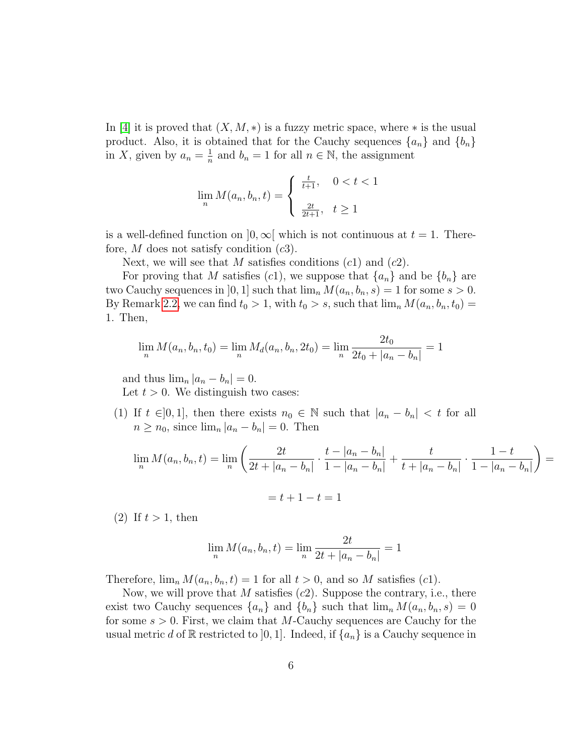In [\[4\]](#page-13-5) it is proved that  $(X, M, *)$  is a fuzzy metric space, where  $*$  is the usual product. Also, it is obtained that for the Cauchy sequences  $\{a_n\}$  and  $\{b_n\}$ in X, given by  $a_n = \frac{1}{n}$  $\frac{1}{n}$  and  $b_n = 1$  for all  $n \in \mathbb{N}$ , the assignment

$$
\lim_{n} M(a_n, b_n, t) = \begin{cases} \frac{t}{t+1}, & 0 < t < 1 \\ \frac{2t}{2t+1}, & t \ge 1 \end{cases}
$$

is a well-defined function on  $]0,\infty[$  which is not continuous at  $t=1$ . Therefore,  $M$  does not satisfy condition  $(c3)$ .

Next, we will see that M satisfies conditions  $(c1)$  and  $(c2)$ .

For proving that M satisfies (c1), we suppose that  $\{a_n\}$  and be  $\{b_n\}$  are two Cauchy sequences in [0, 1] such that  $\lim_{n} M(a_n, b_n, s) = 1$  for some  $s > 0$ . By Remark [2.2,](#page-3-0) we can find  $t_0 > 1$ , with  $t_0 > s$ , such that  $\lim_n M(a_n, b_n, t_0) =$ 1. Then,

$$
\lim_{n} M(a_n, b_n, t_0) = \lim_{n} M_d(a_n, b_n, 2t_0) = \lim_{n} \frac{2t_0}{2t_0 + |a_n - b_n|} = 1
$$

and thus  $\lim_{n} |a_n - b_n| = 0$ . Let  $t > 0$ . We distinguish two cases:

(1) If  $t \in ]0,1]$ , then there exists  $n_0 \in \mathbb{N}$  such that  $|a_n - b_n| < t$  for all  $n \geq n_0$ , since  $\lim_n |a_n - b_n| = 0$ . Then

$$
\lim_{n} M(a_n, b_n, t) = \lim_{n} \left( \frac{2t}{2t + |a_n - b_n|} \cdot \frac{t - |a_n - b_n|}{1 - |a_n - b_n|} + \frac{t}{t + |a_n - b_n|} \cdot \frac{1 - t}{1 - |a_n - b_n|} \right) =
$$

$$
= t + 1 - t = 1
$$

(2) If  $t > 1$ , then

$$
\lim_{n} M(a_n, b_n, t) = \lim_{n} \frac{2t}{2t + |a_n - b_n|} = 1
$$

Therefore,  $\lim_{n} M(a_n, b_n, t) = 1$  for all  $t > 0$ , and so M satisfies (c1).

Now, we will prove that  $M$  satisfies  $(c2)$ . Suppose the contrary, i.e., there exist two Cauchy sequences  $\{a_n\}$  and  $\{b_n\}$  such that  $\lim_n M(a_n, b_n, s) = 0$ for some  $s > 0$ . First, we claim that M-Cauchy sequences are Cauchy for the usual metric d of R restricted to [0, 1]. Indeed, if  $\{a_n\}$  is a Cauchy sequence in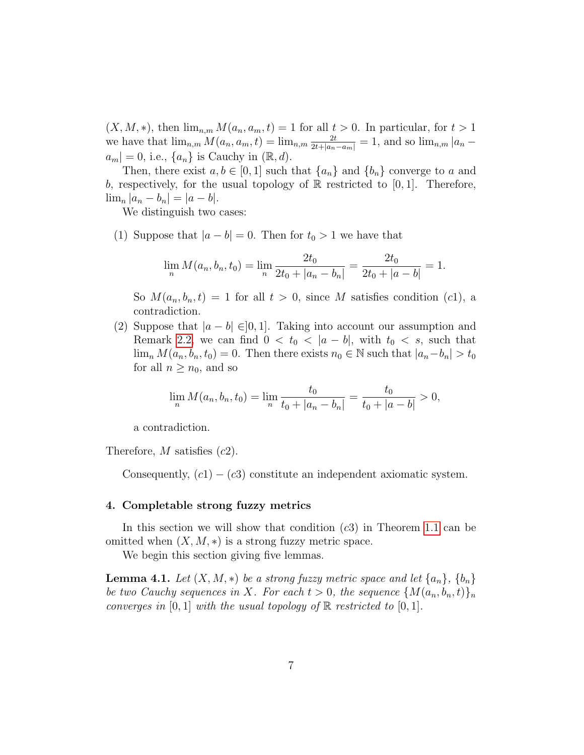$(X, M, *)$ , then  $\lim_{n,m} M(a_n, a_m, t) = 1$  for all  $t > 0$ . In particular, for  $t > 1$ we have that  $\lim_{n,m} M(a_n, a_m, t) = \lim_{n,m} \frac{2t}{2t + |a_n - a_m|} = 1$ , and so  $\lim_{n,m} |a_n - a_m|$  $|a_m| = 0$ , i.e.,  $\{a_n\}$  is Cauchy in  $(\mathbb{R}, d)$ .

Then, there exist  $a, b \in [0, 1]$  such that  $\{a_n\}$  and  $\{b_n\}$  converge to a and b, respectively, for the usual topology of  $\mathbb R$  restricted to [0, 1]. Therefore,  $\lim_{n} |a_n - b_n| = |a - b|.$ 

We distinguish two cases:

(1) Suppose that  $|a - b| = 0$ . Then for  $t_0 > 1$  we have that

$$
\lim_{n} M(a_n, b_n, t_0) = \lim_{n} \frac{2t_0}{2t_0 + |a_n - b_n|} = \frac{2t_0}{2t_0 + |a - b|} = 1.
$$

So  $M(a_n, b_n, t) = 1$  for all  $t > 0$ , since M satisfies condition (c1), a contradiction.

(2) Suppose that  $|a - b| \in ]0,1]$ . Taking into account our assumption and Remark [2.2,](#page-3-0) we can find  $0 < t_0 < |a - b|$ , with  $t_0 < s$ , such that  $\lim_{n} M(a_n, b_n, t_0) = 0$ . Then there exists  $n_0 \in \mathbb{N}$  such that  $|a_n - b_n| > t_0$ for all  $n \geq n_0$ , and so

$$
\lim_{n} M(a_n, b_n, t_0) = \lim_{n} \frac{t_0}{t_0 + |a_n - b_n|} = \frac{t_0}{t_0 + |a - b|} > 0,
$$

a contradiction.

Therefore,  $M$  satisfies  $(c2)$ .

Consequently,  $(c1) - (c3)$  constitute an independent axiomatic system.

#### 4. Completable strong fuzzy metrics

In this section we will show that condition  $(c3)$  in Theorem [1.1](#page-2-0) can be omitted when  $(X, M, *)$  is a strong fuzzy metric space.

We begin this section giving five lemmas.

<span id="page-7-0"></span>**Lemma 4.1.** Let  $(X, M, *)$  be a strong fuzzy metric space and let  $\{a_n\}, \{b_n\}$ be two Cauchy sequences in X. For each  $t > 0$ , the sequence  ${M(a_n, b_n, t)}_n$ converges in [0, 1] with the usual topology of  $\mathbb R$  restricted to [0, 1].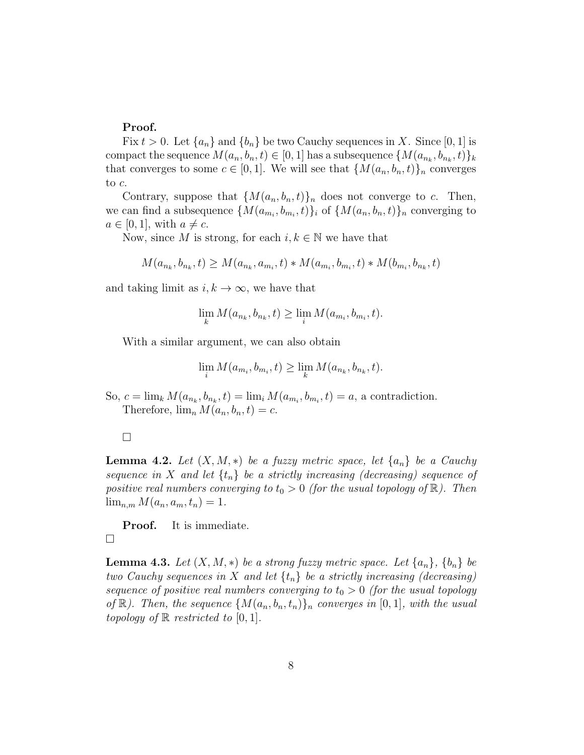# Proof.

Fix  $t > 0$ . Let  $\{a_n\}$  and  $\{b_n\}$  be two Cauchy sequences in X. Since [0, 1] is compact the sequence  $M(a_n, b_n, t) \in [0, 1]$  has a subsequence  $\{M(a_{n_k}, b_{n_k}, t)\}_k$ that converges to some  $c \in [0,1]$ . We will see that  $\{M(a_n, b_n, t)\}_n$  converges to c.

Contrary, suppose that  ${M(a_n, b_n, t)}_n$  does not converge to c. Then, we can find a subsequence  $\{M(a_{m_i}, b_{m_i}, t)\}_i$  of  $\{M(a_n, b_n, t)\}_n$  converging to  $a \in [0, 1]$ , with  $a \neq c$ .

Now, since M is strong, for each  $i, k \in \mathbb{N}$  we have that

$$
M(a_{n_k}, b_{n_k}, t) \ge M(a_{n_k}, a_{m_i}, t) * M(a_{m_i}, b_{m_i}, t) * M(b_{m_i}, b_{n_k}, t)
$$

and taking limit as  $i, k \to \infty$ , we have that

$$
\lim_{k} M(a_{n_k}, b_{n_k}, t) \ge \lim_{i} M(a_{m_i}, b_{m_i}, t).
$$

With a similar argument, we can also obtain

$$
\lim_{i} M(a_{m_i}, b_{m_i}, t) \ge \lim_{k} M(a_{n_k}, b_{n_k}, t).
$$

So,  $c = \lim_k M(a_{n_k}, b_{n_k}, t) = \lim_i M(a_{m_i}, b_{m_i}, t) = a$ , a contradiction. Therefore,  $\lim_n M(a_n, b_n, t) = c$ .

### $\Box$

<span id="page-8-0"></span>**Lemma 4.2.** Let  $(X, M, *)$  be a fuzzy metric space, let  $\{a_n\}$  be a Cauchy sequence in X and let  $\{t_n\}$  be a strictly increasing (decreasing) sequence of positive real numbers converging to  $t_0 > 0$  (for the usual topology of  $\mathbb{R}$ ). Then  $\lim_{n,m} M(a_n, a_m, t_n) = 1.$ 

Proof. It is immediate.  $\Box$ 

<span id="page-8-1"></span>**Lemma 4.3.** Let  $(X, M, *)$  be a strong fuzzy metric space. Let  $\{a_n\}$ ,  $\{b_n\}$  be two Cauchy sequences in X and let  $\{t_n\}$  be a strictly increasing (decreasing) sequence of positive real numbers converging to  $t_0 > 0$  (for the usual topology of  $\mathbb{R}$ ). Then, the sequence  $\{M(a_n, b_n, t_n)\}_n$  converges in  $[0, 1]$ , with the usual topology of  $\mathbb R$  restricted to  $[0, 1]$ .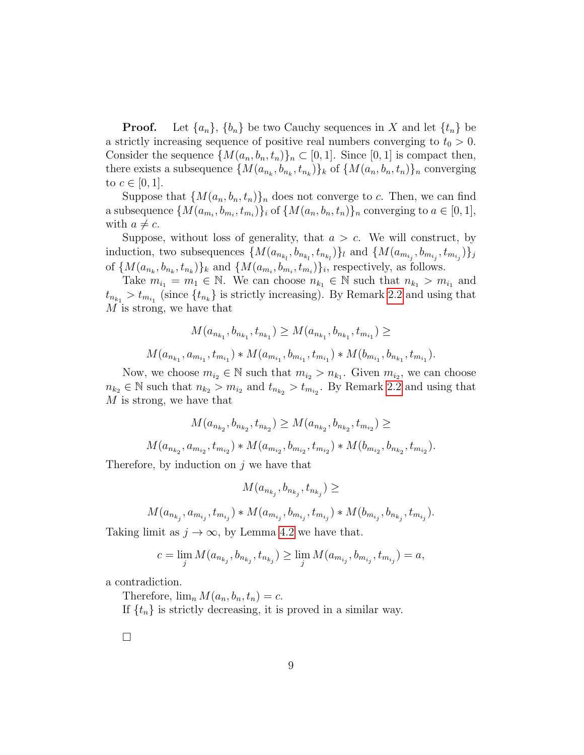**Proof.** Let  $\{a_n\}$ ,  $\{b_n\}$  be two Cauchy sequences in X and let  $\{t_n\}$  be a strictly increasing sequence of positive real numbers converging to  $t_0 > 0$ . Consider the sequence  $\{M(a_n, b_n, t_n)\}_n \subset [0, 1]$ . Since  $[0, 1]$  is compact then, there exists a subsequence  $\{M(a_{n_k}, b_{n_k}, t_{n_k})\}_k$  of  $\{M(a_n, b_n, t_n)\}_n$  converging to  $c \in [0, 1]$ .

Suppose that  $\{M(a_n, b_n, t_n)\}_n$  does not converge to c. Then, we can find a subsequence  $\{M(a_{m_i}, b_{m_i}, t_{m_i})\}_i$  of  $\{M(a_n, b_n, t_n)\}_n$  converging to  $a \in [0, 1]$ , with  $a \neq c$ .

Suppose, without loss of generality, that  $a > c$ . We will construct, by induction, two subsequences  $\{M(a_{n_{k_l}}, b_{n_{k_l}}, t_{n_{k_l}})\}_l$  and  $\{M(a_{m_{i_j}}, b_{m_{i_j}}, t_{m_{i_j}})\}_j$ of  $\{M(a_{n_k}, b_{n_k}, t_{n_k})\}_k$  and  $\{M(a_{m_i}, b_{m_i}, t_{m_i})\}_i$ , respectively, as follows.

Take  $m_{i_1} = m_1 \in \mathbb{N}$ . We can choose  $n_{k_1} \in \mathbb{N}$  such that  $n_{k_1} > m_{i_1}$  and  $t_{n_{k_1}} > t_{m_{i_1}}$  (since  $\{t_{n_k}\}\$ is strictly increasing). By Remark [2.2](#page-3-0) and using that M is strong, we have that

$$
M(a_{n_{k_1}}, b_{n_{k_1}}, t_{n_{k_1}}) \ge M(a_{n_{k_1}}, b_{n_{k_1}}, t_{m_{i_1}}) \ge
$$
  

$$
M(a_{n_{k_1}}, a_{m_{i_1}}, t_{m_{i_1}}) * M(a_{m_{i_1}}, b_{m_{i_1}}, t_{m_{i_1}}) * M(b_{m_{i_1}}, b_{n_{k_1}}, t_{m_{i_1}}).
$$

Now, we choose  $m_{i_2} \in \mathbb{N}$  such that  $m_{i_2} > n_{k_1}$ . Given  $m_{i_2}$ , we can choose  $n_{k_2} \in \mathbb{N}$  such that  $n_{k_2} > m_{i_2}$  and  $t_{n_{k_2}} > t_{m_{i_2}}$ . By Remark [2.2](#page-3-0) and using that M is strong, we have that

$$
M(a_{n_{k_2}}, b_{n_{k_2}}, t_{n_{k_2}}) \ge M(a_{n_{k_2}}, b_{n_{k_2}}, t_{m_{k_2}}) \ge M(a_{n_{k_2}}, a_{m_{k_2}}, t_{m_{k_2}}) * M(a_{m_{k_2}}, b_{m_{k_2}}, t_{m_{k_2}}) * M(b_{m_{k_2}}, b_{n_{k_2}}, t_{m_{k_2}}).
$$

Therefore, by induction on  $j$  we have that

$$
M(a_{n_{k_j}},b_{n_{k_j}},t_{n_{k_j}})\ge
$$

$$
M(a_{n_{k_j}}, a_{m_{i_j}}, t_{m_{i_j}}) * M(a_{m_{i_j}}, b_{m_{i_j}}, t_{m_{i_j}}) * M(b_{m_{i_j}}, b_{n_{k_j}}, t_{m_{i_j}}).
$$

Taking limit as  $j \to \infty$ , by Lemma [4.2](#page-8-0) we have that.

$$
c = \lim_j M(a_{n_{k_j}}, b_{n_{k_j}}, t_{n_{k_j}}) \ge \lim_j M(a_{m_{i_j}}, b_{m_{i_j}}, t_{m_{i_j}}) = a,
$$

a contradiction.

Therefore,  $\lim_n M(a_n, b_n, t_n) = c$ .

If  $\{t_n\}$  is strictly decreasing, it is proved in a similar way.

 $\Box$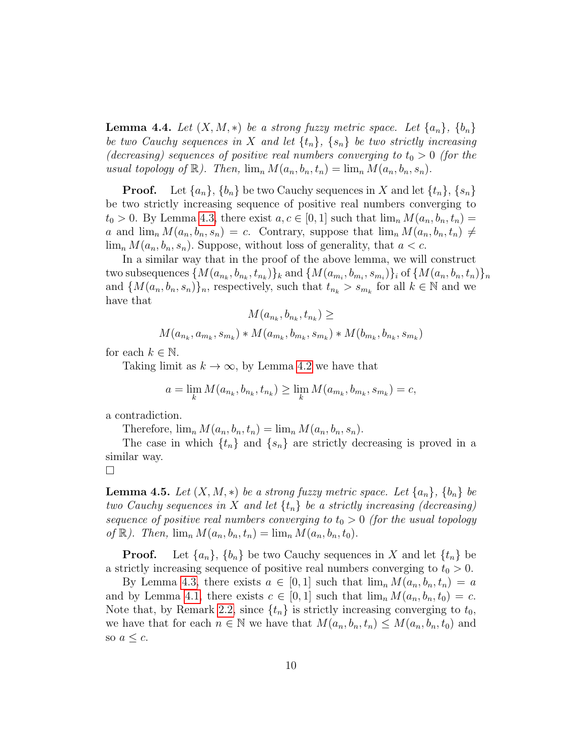<span id="page-10-0"></span>**Lemma 4.4.** Let  $(X, M, *)$  be a strong fuzzy metric space. Let  $\{a_n\}$ ,  $\{b_n\}$ be two Cauchy sequences in X and let  $\{t_n\}$ ,  $\{s_n\}$  be two strictly increasing (decreasing) sequences of positive real numbers converging to  $t_0 > 0$  (for the usual topology of  $\mathbb{R}$ ). Then,  $\lim_n M(a_n, b_n, t_n) = \lim_n M(a_n, b_n, s_n)$ .

**Proof.** Let  $\{a_n\}$ ,  $\{b_n\}$  be two Cauchy sequences in X and let  $\{t_n\}$ ,  $\{s_n\}$ be two strictly increasing sequence of positive real numbers converging to  $t_0 > 0$ . By Lemma [4.3,](#page-8-1) there exist  $a, c \in [0, 1]$  such that  $\lim_n M(a_n, b_n, t_n) =$ a and  $\lim_n M(a_n, b_n, s_n) = c$ . Contrary, suppose that  $\lim_n M(a_n, b_n, t_n) \neq$  $\lim_n M(a_n, b_n, s_n)$ . Suppose, without loss of generality, that  $a < c$ .

In a similar way that in the proof of the above lemma, we will construct two subsequences  $\{M(a_{n_k}, b_{n_k}, t_{n_k})\}_k$  and  $\{M(a_{m_i}, b_{m_i}, s_{m_i})\}_i$  of  $\{M(a_n, b_n, t_n)\}_n$ and  $\{M(a_n, b_n, s_n)\}_n$ , respectively, such that  $t_{n_k} > s_{m_k}$  for all  $k \in \mathbb{N}$  and we have that

$$
M(a_{n_k}, b_{n_k}, t_{n_k}) \ge
$$
  

$$
M(a_{n_k}, a_{m_k}, s_{m_k}) * M(a_{m_k}, b_{m_k}, s_{m_k}) * M(b_{m_k}, b_{n_k}, s_{m_k})
$$

for each  $k \in \mathbb{N}$ .

Taking limit as  $k \to \infty$ , by Lemma [4.2](#page-8-0) we have that

$$
a = \lim_{k} M(a_{n_k}, b_{n_k}, t_{n_k}) \ge \lim_{k} M(a_{m_k}, b_{m_k}, s_{m_k}) = c,
$$

a contradiction.

Therefore,  $\lim_n M(a_n, b_n, t_n) = \lim_n M(a_n, b_n, s_n)$ .

The case in which  $\{t_n\}$  and  $\{s_n\}$  are strictly decreasing is proved in a similar way.

$$
\qquad \qquad \Box
$$

<span id="page-10-1"></span>**Lemma 4.5.** Let  $(X, M, *)$  be a strong fuzzy metric space. Let  $\{a_n\}$ ,  $\{b_n\}$  be two Cauchy sequences in X and let  $\{t_n\}$  be a strictly increasing (decreasing) sequence of positive real numbers converging to  $t_0 > 0$  (for the usual topology of  $\mathbb{R}$ ). Then,  $\lim_{n} M(a_n, b_n, t_n) = \lim_{n} M(a_n, b_n, t_0)$ .

**Proof.** Let  $\{a_n\}$ ,  $\{b_n\}$  be two Cauchy sequences in X and let  $\{t_n\}$  be a strictly increasing sequence of positive real numbers converging to  $t_0 > 0$ .

By Lemma [4.3,](#page-8-1) there exists  $a \in [0,1]$  such that  $\lim_n M(a_n, b_n, t_n) = a$ and by Lemma [4.1,](#page-7-0) there exists  $c \in [0,1]$  such that  $\lim_n M(a_n, b_n, t_0) = c$ . Note that, by Remark [2.2,](#page-3-0) since  $\{t_n\}$  is strictly increasing converging to  $t_0$ , we have that for each  $n \in \mathbb{N}$  we have that  $M(a_n, b_n, t_n) \leq M(a_n, b_n, t_0)$  and so  $a \leq c$ .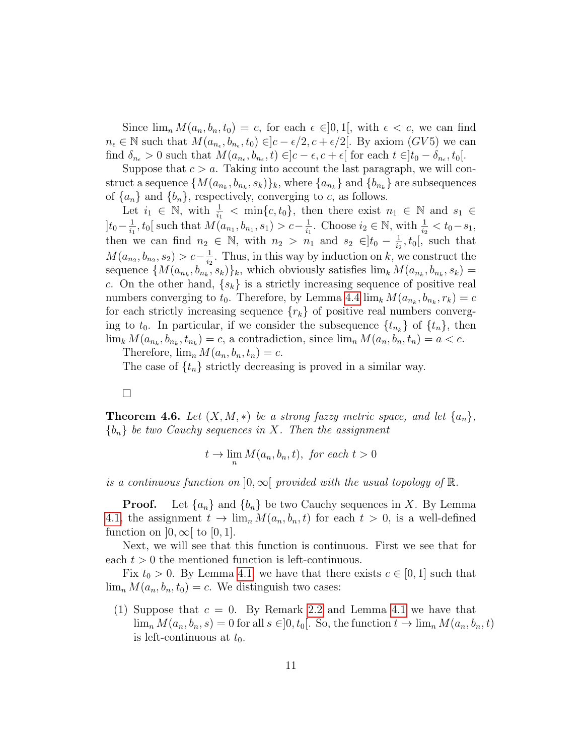Since  $\lim_n M(a_n, b_n, t_0) = c$ , for each  $\epsilon \in ]0,1[$ , with  $\epsilon < c$ , we can find  $n_{\epsilon} \in \mathbb{N}$  such that  $M(a_{n_{\epsilon}}, b_{n_{\epsilon}}, t_0) \in ]c - \epsilon/2, c + \epsilon/2[$ . By axiom  $(GV5)$  we can find  $\delta_{n_{\epsilon}} > 0$  such that  $M(a_{n_{\epsilon}}, b_{n_{\epsilon}}, t) \in ]c - \epsilon, c + \epsilon[$  for each  $t \in ]t_0 - \delta_{n_{\epsilon}}, t_0[$ .

Suppose that  $c > a$ . Taking into account the last paragraph, we will construct a sequence  $\{M(a_{n_k},b_{n_k},s_k)\}_k$ , where  $\{a_{n_k}\}$  and  $\{b_{n_k}\}$  are subsequences of  $\{a_n\}$  and  $\{b_n\}$ , respectively, converging to c, as follows.

Let  $i_1 \in \mathbb{N}$ , with  $\frac{1}{i_1} < \min\{c, t_0\}$ , then there exist  $n_1 \in \mathbb{N}$  and  $s_1 \in$  $]t_0-\frac{1}{i_1}$  $\frac{1}{i_1}$ ,  $t_0$ [ such that  $M(a_{n_1}, b_{n_1}, s_1) > c - \frac{1}{i_1}$  $\frac{1}{i_1}$ . Choose  $i_2 \in \mathbb{N}$ , with  $\frac{1}{i_2} < t_0 - s_1$ , then we can find  $n_2 \in \mathbb{N}$ , with  $n_2 > n_1$  and  $s_2 \in ]t_0 - \frac{1}{i_2}$  $\frac{1}{i_2}$ ,  $t_0$ , such that  $M(a_{n_2}, b_{n_2}, s_2) > c - \frac{1}{i_2}$  $\frac{1}{i_2}$ . Thus, in this way by induction on k, we construct the sequence  $\{M(a_{n_k}, b_{n_k}, s_k)\}_k$ , which obviously satisfies  $\lim_k M(a_{n_k}, b_{n_k}, s_k) =$ c. On the other hand,  $\{s_k\}$  is a strictly increasing sequence of positive real numbers converging to  $t_0$ . Therefore, by Lemma [4.4](#page-10-0)  $\lim_k M(a_{n_k}, b_{n_k}, r_k) = c$ for each strictly increasing sequence  $\{r_k\}$  of positive real numbers converging to  $t_0$ . In particular, if we consider the subsequence  $\{t_{n_k}\}$  of  $\{t_n\}$ , then  $\lim_k M(a_{n_k}, b_{n_k}, t_{n_k}) = c$ , a contradiction, since  $\lim_n M(a_n, b_n, t_n) = a < c$ .

Therefore,  $\lim_n M(a_n, b_n, t_n) = c$ .

The case of  $\{t_n\}$  strictly decreasing is proved in a similar way.

 $\Box$ 

<span id="page-11-0"></span>**Theorem 4.6.** Let  $(X, M, *)$  be a strong fuzzy metric space, and let  $\{a_n\}$ ,  ${b_n}$  be two Cauchy sequences in X. Then the assignment

$$
t \to \lim_n M(a_n, b_n, t), \text{ for each } t > 0
$$

is a continuous function on  $[0,\infty[$  provided with the usual topology of  $\mathbb{R}$ .

**Proof.** Let  $\{a_n\}$  and  $\{b_n\}$  be two Cauchy sequences in X. By Lemma [4.1,](#page-7-0) the assignment  $t \to \lim_n M(a_n, b_n, t)$  for each  $t > 0$ , is a well-defined function on  $]0,\infty[$  to  $[0,1]$ .

Next, we will see that this function is continuous. First we see that for each  $t > 0$  the mentioned function is left-continuous.

Fix  $t_0 > 0$ . By Lemma [4.1,](#page-7-0) we have that there exists  $c \in [0, 1]$  such that  $\lim_n M(a_n, b_n, t_0) = c$ . We distinguish two cases:

(1) Suppose that  $c = 0$ . By Remark [2.2](#page-3-0) and Lemma [4.1](#page-7-0) we have that  $\lim_n M(a_n, b_n, s) = 0$  for all  $s \in ]0, t_0[$ . So, the function  $t \to \lim_n M(a_n, b_n, t)$ is left-continuous at  $t_0$ .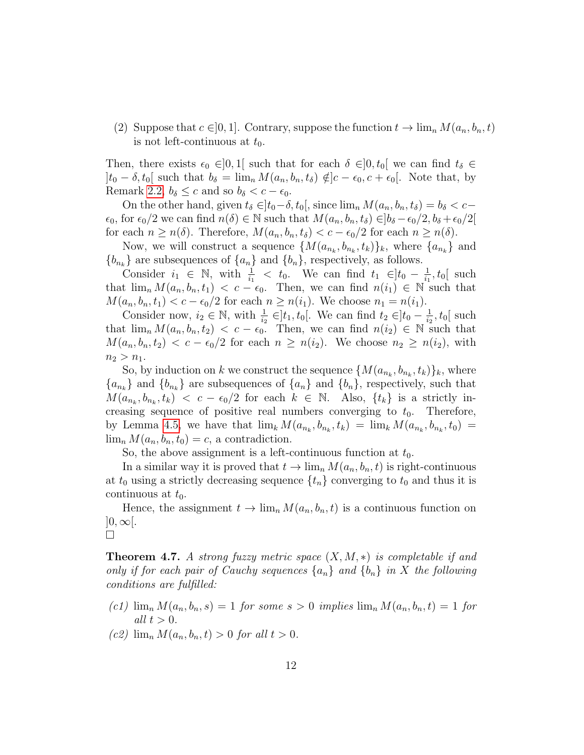(2) Suppose that  $c \in ]0,1]$ . Contrary, suppose the function  $t \to \lim_n M(a_n, b_n, t)$ is not left-continuous at  $t_0$ .

Then, there exists  $\epsilon_0 \in ]0,1]$  such that for each  $\delta \in ]0, t_0[$  we can find  $t_\delta \in$  $]t_0 - \delta, t_0[$  such that  $b_\delta = \lim_n M(a_n, b_n, t_\delta) \notin ]c - \epsilon_0, c + \epsilon_0[$ . Note that, by Remark [2.2,](#page-3-0)  $b_{\delta} \leq c$  and so  $b_{\delta} < c - \epsilon_0$ .

On the other hand, given  $t_\delta \in ]t_0-\delta, t_0[$ , since  $\lim_n M(a_n, b_n, t_\delta) = b_\delta < c \epsilon_0$ , for  $\epsilon_0/2$  we can find  $n(\delta) \in \mathbb{N}$  such that  $M(a_n, b_n, t_\delta) \in ]b_\delta - \epsilon_0/2, b_\delta + \epsilon_0/2[$ for each  $n \geq n(\delta)$ . Therefore,  $M(a_n, b_n, t_\delta) < c - \epsilon_0/2$  for each  $n \geq n(\delta)$ .

Now, we will construct a sequence  $\{M(a_{n_k}, b_{n_k}, t_k)\}_k$ , where  $\{a_{n_k}\}\$  and  ${b_{n_k}}$  are subsequences of  ${a_n}$  and  ${b_n}$ , respectively, as follows.

Consider  $i_1 \in \mathbb{N}$ , with  $\frac{1}{i_1} < t_0$ . We can find  $t_1 \in ]t_0 - \frac{1}{i_1}$  $\frac{1}{i_1}$ ,  $t_0$  [ such that  $\lim_n M(a_n, b_n, t_1) < c - \epsilon_0$ . Then, we can find  $n(i_1) \in \mathbb{N}$  such that  $M(a_n, b_n, t_1) < c - \epsilon_0/2$  for each  $n \ge n(i_1)$ . We choose  $n_1 = n(i_1)$ .

Consider now,  $i_2 \in \mathbb{N}$ , with  $\frac{1}{i_2} \in ]t_1, t_0[$ . We can find  $t_2 \in ]t_0 - \frac{1}{i_2}$  $\frac{1}{i_2}$ ,  $t_0$ [ such that  $\lim_n M(a_n, b_n, t_2) < c - \epsilon_0$ . Then, we can find  $n(i_2) \in \mathbb{N}$  such that  $M(a_n, b_n, t_2) < c - \epsilon_0/2$  for each  $n \geq n(i_2)$ . We choose  $n_2 \geq n(i_2)$ , with  $n_2 > n_1$ .

So, by induction on k we construct the sequence  $\{M(a_{n_k}, b_{n_k}, t_k)\}_k$ , where  ${a_{n_k}}$  and  ${b_{n_k}}$  are subsequences of  ${a_n}$  and  ${b_n}$ , respectively, such that  $M(a_{n_k}, b_{n_k}, t_k)$  <  $c - \epsilon_0/2$  for each  $k \in \mathbb{N}$ . Also,  $\{t_k\}$  is a strictly increasing sequence of positive real numbers converging to  $t_0$ . Therefore, by Lemma [4.5,](#page-10-1) we have that  $\lim_k M(a_{n_k}, b_{n_k}, t_k) = \lim_k M(a_{n_k}, b_{n_k}, t_0)$  $\lim_n M(a_n, b_n, t_0) = c$ , a contradiction.

So, the above assignment is a left-continuous function at  $t_0$ .

In a similar way it is proved that  $t \to \lim_n M(a_n, b_n, t)$  is right-continuous at  $t_0$  using a strictly decreasing sequence  $\{t_n\}$  converging to  $t_0$  and thus it is continuous at  $t_0$ .

Hence, the assignment  $t \to \lim_n M(a_n, b_n, t)$  is a continuous function on  $|0,\infty|$ .

**Theorem 4.7.** A strong fuzzy metric space  $(X, M, *)$  is completable if and only if for each pair of Cauchy sequences  $\{a_n\}$  and  $\{b_n\}$  in X the following conditions are fulfilled:

- (c1)  $\lim_n M(a_n, b_n, s) = 1$  for some  $s > 0$  implies  $\lim_n M(a_n, b_n, t) = 1$  for all  $t > 0$ .
- $(c2)$   $\lim_{n} M(a_n, b_n, t) > 0$  for all  $t > 0$ .

<span id="page-12-0"></span> $\Box$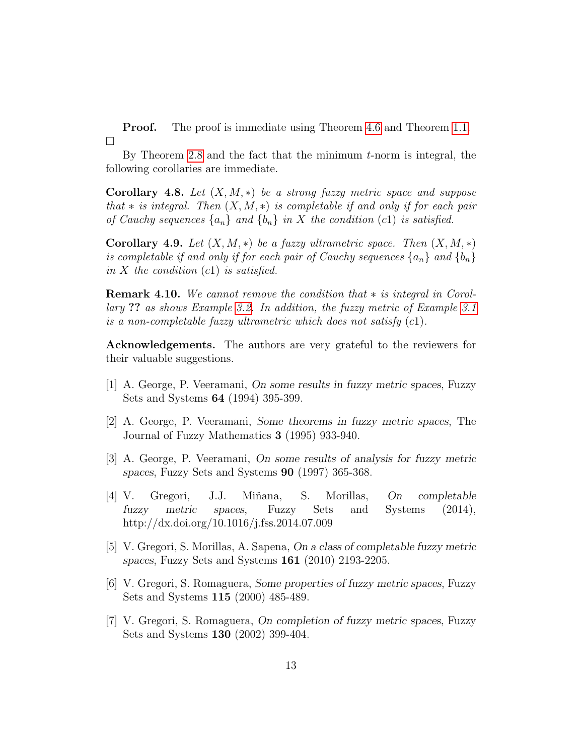**Proof.** The proof is immediate using Theorem [4.6](#page-11-0) and Theorem [1.1.](#page-2-0)  $\Box$ 

By Theorem [2.8](#page-4-0) and the fact that the minimum  $t$ -norm is integral, the following corollaries are immediate.

**Corollary 4.8.** Let  $(X, M, *)$  be a strong fuzzy metric space and suppose that  $\ast$  is integral. Then  $(X, M, \ast)$  is completable if and only if for each pair of Cauchy sequences  $\{a_n\}$  and  $\{b_n\}$  in X the condition (c1) is satisfied.

<span id="page-13-6"></span>Corollary 4.9. Let  $(X, M, *)$  be a fuzzy ultrametric space. Then  $(X, M, *)$ is completable if and only if for each pair of Cauchy sequences  $\{a_n\}$  and  $\{b_n\}$ in X the condition  $(c1)$  is satisfied.

Remark 4.10. We cannot remove the condition that ∗ is integral in Corollary ?? as shows Example [3.2.](#page-5-0) In addition, the fuzzy metric of Example [3.1](#page-4-1) is a non-completable fuzzy ultrametric which does not satisfy  $(c1)$ .

Acknowledgements. The authors are very grateful to the reviewers for their valuable suggestions.

- <span id="page-13-0"></span>[1] A. George, P. Veeramani, On some results in fuzzy metric spaces, Fuzzy Sets and Systems 64 (1994) 395-399.
- <span id="page-13-2"></span>[2] A. George, P. Veeramani, Some theorems in fuzzy metric spaces, The Journal of Fuzzy Mathematics 3 (1995) 933-940.
- <span id="page-13-1"></span>[3] A. George, P. Veeramani, On some results of analysis for fuzzy metric spaces, Fuzzy Sets and Systems 90 (1997) 365-368.
- <span id="page-13-5"></span>[4] V. Gregori, J.J. Mi˜nana, S. Morillas, On completable fuzzy metric spaces, Fuzzy Sets and Systems (2014), http://dx.doi.org/10.1016/j.fss.2014.07.009
- <span id="page-13-7"></span>[5] V. Gregori, S. Morillas, A. Sapena, On a class of completable fuzzy metric spaces, Fuzzy Sets and Systems 161 (2010) 2193-2205.
- <span id="page-13-3"></span>[6] V. Gregori, S. Romaguera, Some properties of fuzzy metric spaces, Fuzzy Sets and Systems 115 (2000) 485-489.
- <span id="page-13-4"></span>[7] V. Gregori, S. Romaguera, On completion of fuzzy metric spaces, Fuzzy Sets and Systems 130 (2002) 399-404.